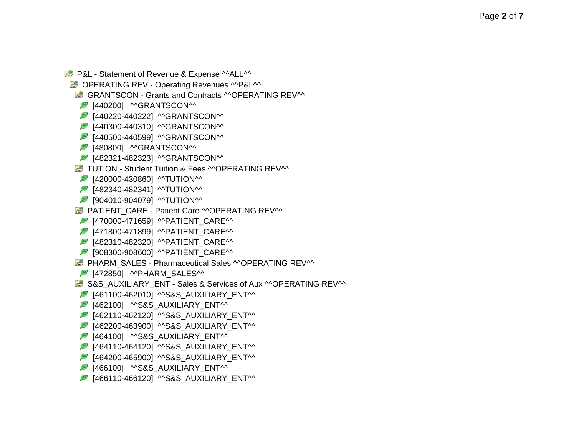**C** OPERATING REV - Operating Revenues MP&L<sup>M</sup>

GRANTSCON - Grants and Contracts MOPERATING REV<sup>^^</sup>

 $|440200|$  MGRANTSCONM

**2** [440220-440222] MGRANTSCON

**8** [440300-440310] MGRANTSCON

**8** [440500-440599] MGRANTSCON

 $|480800|$  MGRANTSCONM

**8** [482321-482323] MGRANTSCONM

**E** TUTION - Student Tuition & Fees MOPERATING REV<sup>^^</sup>

 $[420000-430860]$  MTUTION<sup>M</sup>

 $[482340 - 482341]$  MTUTION<sup>M</sup>

**8** [904010-904079] MTUTION

**PATIENT\_CARE - Patient Care MOPERATING REV^^** 

**2** [470000-471659] MPATIENT CARE<sup>^^</sup>

**8** [471800-471899] MPATIENT\_CARE<sup>^^</sup>

**2** [482310-482320] MPATIENT CARE<sup>^^</sup>

**8** [908300-908600] MPATIENT\_CARE<sup>^^</sup>

**PHARM SALES - Pharmaceutical Sales ^^OPERATING REV^^** 

 $|472850|$  MPHARM SALES<sup>M</sup>

**S&S\_AUXILIARY\_ENT - Sales & Services of Aux ^^OPERATING REV^^** 

**2** [461100-462010] ^^S&S\_AUXILIARY\_ENT^^

 $|462100|$  MS&S AUXILIARY ENTM

**2** [462110-462120] ^^S&S\_AUXILIARY\_ENT^^

**2** [462200-463900] MS&S AUXILIARY ENT M

**2** |464100| MS&S\_AUXILIARY\_ENTM

 $[464110-464120]$  MS&S AUXILIARY ENTM

**2** [464200-465900] ^^S&S\_AUXILIARY\_ENT^^

 $|466100|$  MS&S\_AUXILIARY\_ENTM

**2** [466110-466120] MS&S\_AUXILIARY\_ENT<sup>M</sup>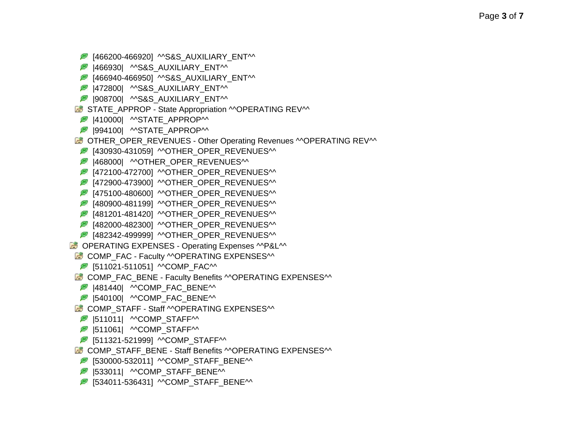- **2** [466200-466920] MS&S\_AUXILIARY\_ENT<sup>M</sup>
- **2** |466930| MS&S AUXILIARY ENT<sup>M</sup>
- **2** [466940-466950] MS&S AUXILIARY ENT M
- |472800| ^^S&S\_AUXILIARY\_ENT^^
- |908700| ^^S&S\_AUXILIARY\_ENT^^
- STATE\_APPROP State Appropriation ^^OPERATING REV^^
	- $|410000|$  MSTATE APPROPM
	- **8** |994100| MSTATE\_APPROPM
- **B** OTHER\_OPER\_REVENUES Other Operating Revenues MOPERATING REV<sup>^^</sup>
	- **2** [430930-431059] MOTHER OPER REVENUES<sup>^^</sup>
	- **2** |468000| MOTHER OPER REVENUES<sup>^^</sup>
	- **2** [472100-472700] ^^OTHER\_OPER\_REVENUES^^
	- **2** [472900-473900] ^^OTHER\_OPER\_REVENUES^^
	- **2** [475100-480600] MOTHER OPER REVENUES<sup>M</sup>
	- **2** [480900-481199] MOTHER OPER REVENUES<sup>^^</sup>
	- $\mathscr{F}$  [481201-481420] MOTHER OPER REVENUES<sup>^^</sup>
	- **2** [482000-482300] ^^OTHER\_OPER\_REVENUES^^
	- **2** [482342-499999] MOTHER OPER REVENUES<sup>^^</sup>
- $\Box$  OPERATING EXPENSES Operating Expenses  $MPA$
- COMP\_FAC Faculty ^^OPERATING EXPENSES^^
- **8** [511021-511051] ^^COMP\_FAC^^
- COMP\_FAC\_BENE Faculty Benefits ^^OPERATING EXPENSES^^
- $|481440|$  MCOMP FAC BENEM
- $\blacksquare$  |540100| MCOMP\_FAC\_BENEM
- **COMP\_STAFF Staff ^^OPERATING EXPENSES^^** 
	- $|511011|$  MCOMP STAFFM
	- $|511061|$  MCOMP STAFF<sup> $\land$ </sup>
	- **8** [511321-521999] ^^COMP\_STAFF^^
- COMP\_STAFF\_BENE Staff Benefits ^^OPERATING EXPENSES^^
- $[530000-532011]$  MCOMP\_STAFF\_BENEM
- $|533011|$  MCOMP STAFF BENEM
- $$$  [534011-536431] ^^COMP\_STAFF\_BENE^^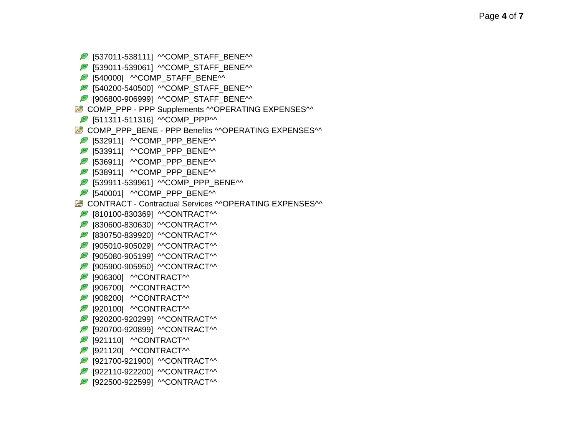**8** [922500-922599] MCONTRACTM

**8** [922110-922200] MCONTRACTM

**8** [921700-921900] MCONTRACTM

 $|921120|$  MCONTRACTM

 $|921110|$  MCONTRACTM

**8** [920700-920899] MCONTRACTM

**8** [920200-920299] MCONTRACTM

 $|920100|$  MCONTRACTM

 $|908200|$  MCONTRACTM

 $|906700|$  MCONTRACTM

 $|906300|$  MCONTRACTM

**8** [905900-905950] MCONTRACTM

**8** [905080-905199] MCONTRACTM

 $[905010-905029]$  MCONTRACTM

**8** [830750-839920] MCONTRACTM

 $[830600-830630]$  MCONTRACTM

**8** [810100-830369] MCONTRACTM

CONTRACT - Contractual Services MOPERATING EXPENSES<sup>M</sup>

 $\blacksquare$  |540001| MCOMP\_PPP\_BENEM

**8** [539911-539961] ^^COMP\_PPP\_BENE^^

**8** | 538911 | MCOMP\_PPP\_BENE<sup>^^</sup>

 $|536911|$  MCOMP PPP BENEM

 $|533911|$  MCOMP PPP BENEM

 $|532911|$  MCOMP\_PPP\_BENEM

COMP\_PPP\_BENE - PPP Benefits ^^OPERATING EXPENSES^^

**8** [511311-511316] MCOMP\_PPPM

COMP\_PPP - PPP Supplements ^^OPERATING EXPENSES^^

**2** [906800-906999] ^^COMP\_STAFF\_BENE^^

**2** [540200-540500] ^^COMP\_STAFF\_BENE^^

 $\blacksquare$  |540000| MCOMP STAFF BENEM

**8** [539011-539061] ^^COMP\_STAFF\_BENE^^

**8** [537011-538111] ^^COMP\_STAFF\_BENE^^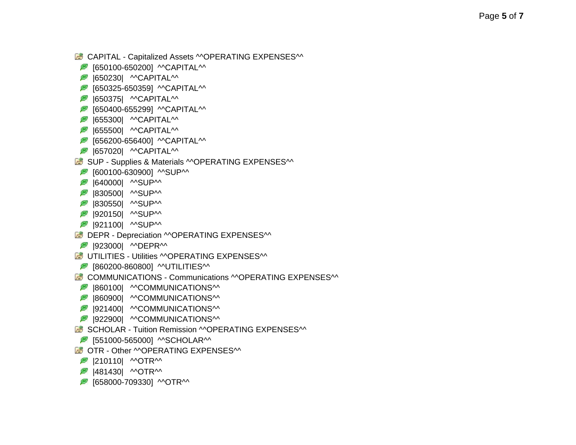Page **5** of **7**

**CAPITAL - Capitalized Assets ^^OPERATING EXPENSES^^** 

**B** SUP - Supplies & Materials MOPERATING EXPENSES<sup>M</sup>

**DEPR - Depreciation ^^OPERATING EXPENSES^^** 

UTILITIES - Utilities MOPERATING EXPENSESM

**E** SCHOLAR - Tuition Remission MOPERATING EXPENSES<sup>M</sup>

COMMUNICATIONS - Communications ^^OPERATING EXPENSES^^

- **8** [650100-650200] MCAPITALM
- 
- $|650230|$  MCAPITALM
- $[650325-650359]$  MCAPITALM
- $|650375|$  MCAPITALM
- **8** [650400-655299] MCAPITALM

**8** [656200-656400] MCAPITALM

- 
- **8** | 655300 | MCAPITALM
- 

**8** 655500 MCAPITAL<sup>^^</sup>

**8** | 657020 | MCAPITALM

**8** 640000 MSUPM **830500| MSUPM 830550| MSUPM 8** |920150| MSUPM **8** |921100| MSUPM

**8** |923000| MDEPRM

 $|210110|$  MOTRM  $\blacksquare$  |481430| MOTRM

 $[658000-709330]$  MOTRM

**8** [860200-860800] MUTILITIES<sup>^^</sup>

860100| MCOMMUNICATIONS 860900| MCOMMUNICATIONS  $|921400|$  MCOMMUNICATIONS<sup> $\wedge$ </sup>  $|922900|$  MCOMMUNICATIONS<sup> $\wedge$ </sup>

**8** [551000-565000] MSCHOLARM

OTR - Other MOPERATING EXPENSESM

**8** [600100-630900] MSUPM

- 
- 
- 
- 
- 
- 
- 
- 
- 
- 
- 
- 
- 
- 
- 
- 
- 
- 
- 
- 
- 
-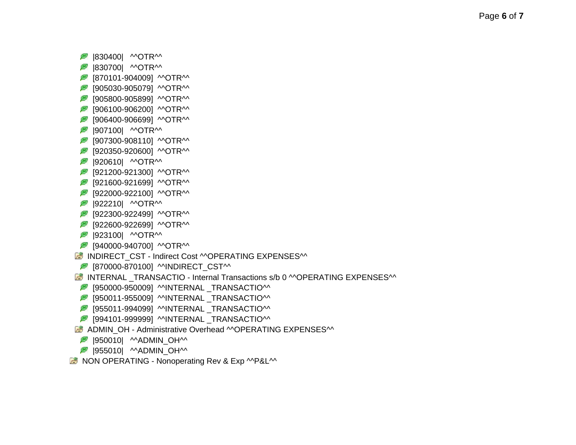$\Box$  NON OPERATING - Nonoperating Rev & Exp  $\bigwedge P\&L\&w$ 

- **8** |955010| MADMIN\_OHM
- **8** |950010| MADMIN\_OHM
- **B** ADMIN\_OH Administrative Overhead ^^OPERATING EXPENSES^^
- $[994101-999999]$  MINTERNAL TRANSACTIOM
- $[955011-994099]$  MINTERNAL \_TRANSACTIOM
- **2** [950011-955009] MINTERNAL \_TRANSACTIOM
- **2** [950000-950009] MINTERNAL TRANSACTIOM
- **INTERNAL TRANSACTIO Internal Transactions s/b 0 ^^OPERATING EXPENSES^^**
- **8** [870000-870100] ^^INDIRECT\_CST^^
- **IS INDIRECT CST Indirect Cost ^^OPERATING EXPENSES^^**
- $[940000-940700]$  MOTRM
- **8** |923100| MOTRM
- **8** [922600-922699] MOTRM
- **8** [922300-922499] MOTRM
- $\bigotimes$  |922210| MOTRM
- $[922000-922100]$  MOTRM
- **8** [921600-921699] MOTRM
- $[921200-921300]$  MOTRM
- **8** |920610| MOTRM
- $[920350-920600]$  MOTRM
- $[907300-908110]$  MOTRM
- **8** |907100| MOTRM
- $[906400-906699]$  MOTRM
- $[906100-906200]$  MOTRM
- **8** [905800-905899] MOTRM
- $[905030-905079]$  MOTRM
- $[870101-904009]$  MOTRM
- **830700| MOTRM**
- $\mathbb{F}$  830400| MOTRM